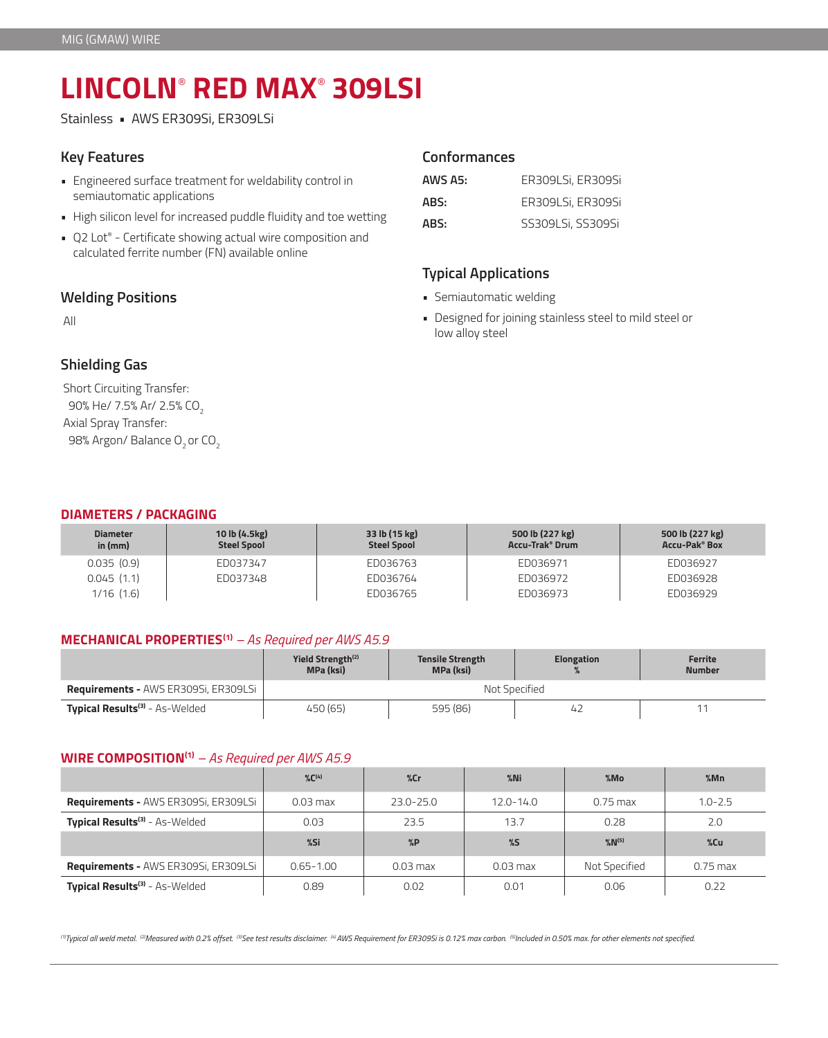# **LINCOLN**®  **RED MAX**®  **309LSI**

Stainless • AWS ER309Si, ER309LSi

### **Key Features**

- Engineered surface treatment for weldability control in semiautomatic applications
- High silicon level for increased puddle fluidity and toe wetting
- Q2 Lot® Certificate showing actual wire composition and calculated ferrite number (FN) available online

## **Welding Positions**

All

# **Shielding Gas**

Short Circuiting Transfer: 90% He/ 7.5% Ar/ 2.5% CO<sub>2</sub> Axial Spray Transfer: 98% Argon/ Balance O<sub>2</sub> or CO<sub>2</sub>

## **Conformances**

| AWS A5: | ER309LSi, ER309Si |
|---------|-------------------|
| ABS:    | ER309LSi, ER309Si |
| ABS:    | SS309LSi, SS309Si |

## **Typical Applications**

- Semiautomatic welding
- Designed for joining stainless steel to mild steel or low alloy steel

### **DIAMETERS / PACKAGING**

| <b>Diameter</b><br>in (mm) | 10 lb (4.5kg)<br><b>Steel Spool</b> | 33 lb (15 kg)<br><b>Steel Spool</b> | 500 lb (227 kg)<br><b>Accu-Trak<sup>®</sup> Drum</b> | 500 lb (227 kg)<br><b>Accu-Pak<sup>®</sup> Box</b> |
|----------------------------|-------------------------------------|-------------------------------------|------------------------------------------------------|----------------------------------------------------|
| 0.035(0.9)                 | ED037347                            | ED036763                            | ED036971                                             | ED036927                                           |
| 0.045(1.1)                 | ED037348                            | ED036764                            | ED036972                                             | ED036928                                           |
| $1/16$ $(1.6)$             |                                     | ED036765                            | ED036973                                             | ED036929                                           |

#### **MECHANICAL PROPERTIES(1)** *– As Required per AWS A5.9*

|                                             | Yield Strength <sup>(2)</sup><br><b>MPa (ksi)</b> | <b>Tensile Strength</b><br><b>Elongation</b><br><b>MPa (ksi)</b> |                | Ferrite<br><b>Number</b> |  |
|---------------------------------------------|---------------------------------------------------|------------------------------------------------------------------|----------------|--------------------------|--|
| <b>Requirements - AWS ER309Si, ER309LSi</b> | Not Specified                                     |                                                                  |                |                          |  |
| Typical Results <sup>(3)</sup> - As-Welded  | 450 (65)                                          | 595 (86)                                                         | 4 <sub>1</sub> |                          |  |

#### **WIRE COMPOSITION(1)** *– As Required per AWS A5.9*

|                                             | $\%C^{(4)}$   | $\%$ Cr       | $%$ Ni        | %Mo                   | %Mn         |
|---------------------------------------------|---------------|---------------|---------------|-----------------------|-------------|
| <b>Requirements - AWS ER309Si, ER309LSi</b> | $0.03$ max    | $23.0 - 25.0$ | $12.0 - 14.0$ | $0.75$ max            | $1.0 - 2.5$ |
| Typical Results <sup>(3)</sup> - As-Welded  | 0.03          | 23.5          | 13.7          | 0.28                  | 2.0         |
|                                             | %Si           | %P            | $\%$          | $\%$ N <sup>(5)</sup> | %Cu         |
| <b>Requirements - AWS ER309Si, ER309LSi</b> | $0.65 - 1.00$ | $0.03$ max    | $0.03$ max    | Not Specified         | $0.75$ max  |
| Typical Results <sup>(3)</sup> - As-Welded  | 0.89          | 0.02          | 0.01          | 0.06                  | 0.22        |

*(1)Typical all weld metal. (2)Measured with 0.2% offset. (3)See test results disclaimer. (4) AWS Requirement for ER309Si is 0.12% max carbon. (5)Included in 0.50% max. for other elements not specified.*